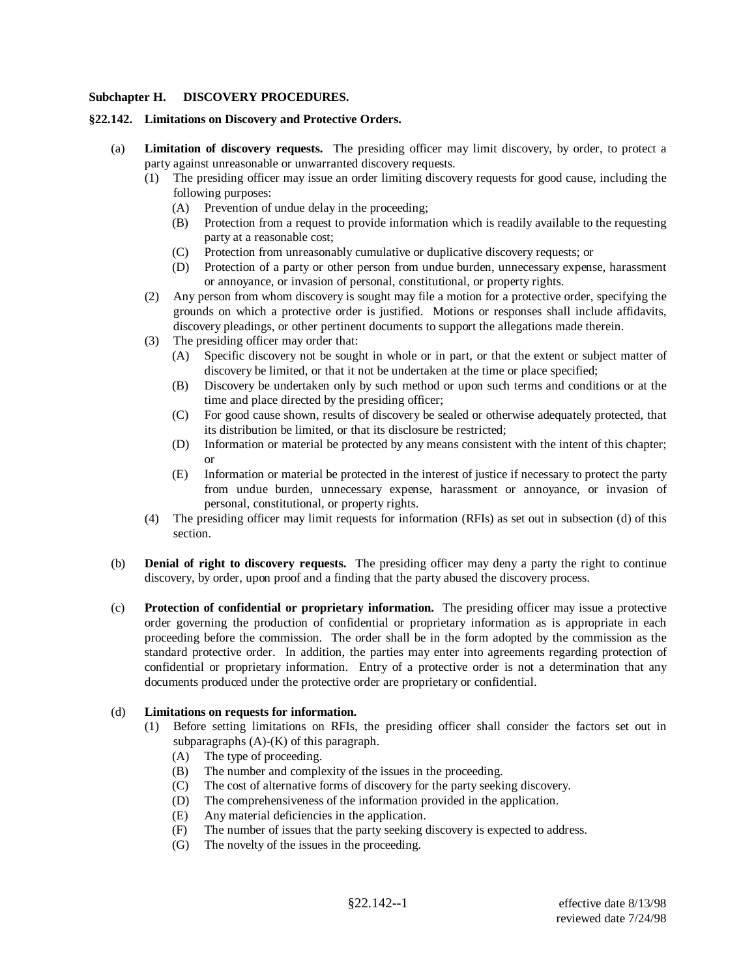#### **Subchapter H. DISCOVERY PROCEDURES.**

#### **§22.142. Limitations on Discovery and Protective Orders.**

- (a) **Limitation of discovery requests.** The presiding officer may limit discovery, by order, to protect a party against unreasonable or unwarranted discovery requests.
	- (1) The presiding officer may issue an order limiting discovery requests for good cause, including the following purposes:
		- (A) Prevention of undue delay in the proceeding;
		- (B) Protection from a request to provide information which is readily available to the requesting party at a reasonable cost;
		- (C) Protection from unreasonably cumulative or duplicative discovery requests; or
		- (D) Protection of a party or other person from undue burden, unnecessary expense, harassment or annoyance, or invasion of personal, constitutional, or property rights.
	- (2) Any person from whom discovery is sought may file a motion for a protective order, specifying the grounds on which a protective order is justified. Motions or responses shall include affidavits, discovery pleadings, or other pertinent documents to support the allegations made therein.
	- (3) The presiding officer may order that:
		- (A) Specific discovery not be sought in whole or in part, or that the extent or subject matter of discovery be limited, or that it not be undertaken at the time or place specified;
		- (B) Discovery be undertaken only by such method or upon such terms and conditions or at the time and place directed by the presiding officer;
		- (C) For good cause shown, results of discovery be sealed or otherwise adequately protected, that its distribution be limited, or that its disclosure be restricted;
		- (D) Information or material be protected by any means consistent with the intent of this chapter; or
		- (E) Information or material be protected in the interest of justice if necessary to protect the party from undue burden, unnecessary expense, harassment or annoyance, or invasion of personal, constitutional, or property rights.
	- (4) The presiding officer may limit requests for information (RFIs) as set out in subsection (d) of this section.
- (b) **Denial of right to discovery requests.** The presiding officer may deny a party the right to continue discovery, by order, upon proof and a finding that the party abused the discovery process.
- (c) **Protection of confidential or proprietary information.** The presiding officer may issue a protective order governing the production of confidential or proprietary information as is appropriate in each proceeding before the commission. The order shall be in the form adopted by the commission as the standard protective order. In addition, the parties may enter into agreements regarding protection of confidential or proprietary information. Entry of a protective order is not a determination that any documents produced under the protective order are proprietary or confidential.

# (d) **Limitations on requests for information.**

- (1) Before setting limitations on RFIs, the presiding officer shall consider the factors set out in subparagraphs  $(A)-(K)$  of this paragraph.
	- (A) The type of proceeding.
	- (B) The number and complexity of the issues in the proceeding.
	- (C) The cost of alternative forms of discovery for the party seeking discovery.
	- (D) The comprehensiveness of the information provided in the application.
	- (E) Any material deficiencies in the application.
	- (F) The number of issues that the party seeking discovery is expected to address.
	- (G) The novelty of the issues in the proceeding.